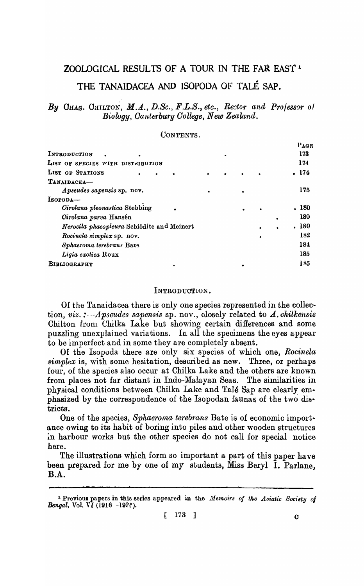# ZOOLOGICAL RESULTS OF A TOUR IN THE FAR EAST 1

## THE TANAIDACEA AND ISOPODA OF TALE SAP.

## By OHAS. CHILTON, M.A., D.Sc., F.L.S., etc., Rector and Professor of Biology, Canterbury College, New Zealand.

#### CONTENTS.

|                                            |  |  |   | PAGE  |
|--------------------------------------------|--|--|---|-------|
| INTRODUCTION                               |  |  |   | 173   |
| LIST OF SPECIES WITH DISTRIBUTION          |  |  |   | 174   |
| LIST OF STATIONS                           |  |  |   | . 174 |
| TANAIDACEA-                                |  |  |   |       |
| Apseudes sapensis sp. nov.                 |  |  |   | 175   |
| $Isopoba-$                                 |  |  |   |       |
| Cirolana pleonastica Stebbing              |  |  |   | . 180 |
| Cirolana parva Hansén                      |  |  | ٠ | 180   |
| Nerocila phaeopleura Schiödite and Meinert |  |  |   | . 180 |
| Rocinela simplex sp. nov.                  |  |  |   | 182   |
| Sphaeroma terebrans Bate                   |  |  |   | 184   |
| Ligia exotica Roux                         |  |  |   | 185   |
| BIBLIOGRAPHY                               |  |  |   | 185   |
|                                            |  |  |   |       |

### INTRODUCTION.

Of the Tanaidacea there is only one species represented in the collection, viz. :--Apseudes sapensis sp. nov., closely related to  $\Lambda$ . chilkensis Chilton from Chilka Lake but showing certain differences and some puzzling unexplained variations. In all the specimens the eyes appear to be imperfect and in some they are completely absent.

Of the Isopoda there are only six species of which one, Rocinela simplex is, with some hesitation, described as new. Three, or perhaps four, of the species also occur at Chilka Lake and the others are known from places not far distant in Indo-Malayan Seas. The similarities in physical conditions between Chilka Lake and Talé Sap are clearly emphasized by the correspondence of the Isopodan faunas of the two districts.

One of the species, Sphaeroma terebrans Bate is of economic importance owing to its habit of boring into piles and other wooden structures in harbour works but the other species do not call for special notice here.

The illustrations which form so important a part of this paper have been prepared for me by one of my students, Miss Beryl I. Parlane. **B.A.** 

<sup>&</sup>lt;sup>1</sup> Previous papers in this series appeared in the *Memoirs of the Asiatic Society of Bengal*, Vol. VI (1916 -1925).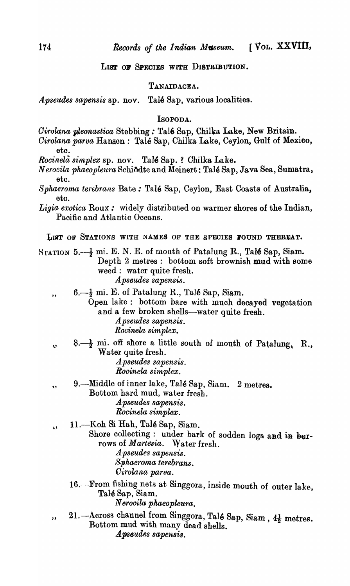LIST OF SPECIES WITH DISTRIBUTION.

## TANAIDACEA.

Talé Sap, various localities. *Apseudes sapensis* sp. nov.

#### Isopoda.

- Cirolana pleonastica Stebbing: Talé Sap, Chilka Lake, New Britain.
- Cirolana parva Hansen: Talé Sap, Chilka Lake, Ceylon, Gulf of Mexico,
- Rocinela simplex sp. nov. Talé Sap. ? Chilka Lake.
- Nerocila phaeopleura Schiodte and Meinert: Talé Sap, Java Sea, Sumatra, etc.
- Sphaeroma terebrans Bate: Talé Sap, Ceylon, East Coasts of Australia, etc.
- Ligia exotica Roux: widely distributed on warmer shores of the Indian, Pacific and Atlantic Oceans.

LIST OF STATIONS WITH NAMES OF THE SPECIES FOUND THEREAT.

- STATION 5. $-\frac{1}{2}$  mi. E. N. E. of mouth of Patalung R., Talé Sap, Siam. Depth 2 metres: bottom soft brownish mud with some weed : water quite fresh. A pseudes sapensis.
	- $6. \frac{1}{2}$  mi. E. of Patalung R., Talé Sap, Siam.  $,$

Open lake: bottom bare with much decayed vegetation and a few broken shells-water quite fresh. A pseudes sapensis.

- Rocinela simplex.
- $8. \frac{1}{2}$  mi. off shore a little south of mouth of Patalung, R., رر Water quite fresh. A pseudes sapensis.

Rocinela simplex.

- 9.—Middle of inner lake, Talé Sap, Siam. 2 metres.  $9.9.$ Bottom hard mud, water fresh. Apseudes sapensis.
	- Rocinela simplex.
- 11. Koh Si Hah, Talé Sap, Siam. λ\$

Shore collecting: under bark of sodden logs and in burrows of Martesia. Water fresh.

- A pseudes sapensis. Sphaeroma terebrans.
- Cirolana parva.
- 16. From fishing nets at Singgora, inside mouth of outer lake, Talé Sap, Siam. Nerocila phaeopleura.
- 21. Across channel from Singgora, Talé Sap, Siam, 41 metres.  $,$ Bottom mud with many dead shells. Apseudes sapensis.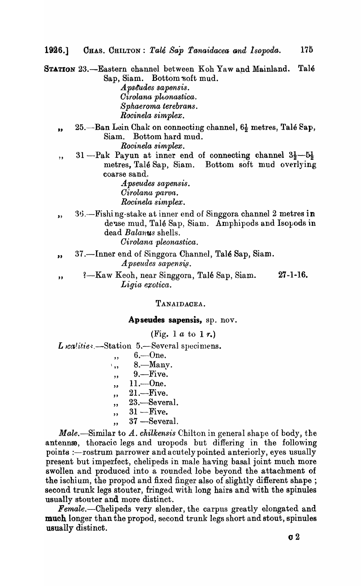CHAS. CHILTON: Talé Sap Tanaidacea and Isopoda. 1926.]

STATION 23.-Eastern channel between Koh Yaw and Mainland. Talé Sap, Siam. Bottom soft mud.  $\boldsymbol{A}$  pseudes sapensis. Cirolana pleonastica.

Sphaeroma terebrans. Rocinela simplex.

- 25. Ban Lein Chak on connecting channel,  $6\frac{1}{2}$  metres, Talé Sap, ,, Bottom hard mud. Siam. Rocinela simplex.
- 31—Pak Payun at inner end of connecting channel  $3\frac{1}{2}-5\frac{1}{2}$  $\cdot$ metres, Talé Sap, Siam. Bottom soft mud overlying coarse sand.

Apseudes sapensis. Cirolana parva. Rocinela simplex.

36.—Fishing-stake at inner end of Singgora channel 2 metres in  $\bullet$ dense mud, Talé Sap, Siam. Amphipods and Isopods in dead *Balanus* shells.

Cirolana pleonastica.

- 37.—Inner end of Singgora Channel, Talé Sap, Siam.  $\bullet$ *Apseudes sapensis.*
- $27 1 16$ . ?—Kaw Keoh, near Singgora, Talé Sap, Siam.  $,$ Ligia exotica.

TANAIDACEA.

Apseudes sapensis, sp. nov.

(Fig. 1  $a$  to 1  $r$ .)

L realities.-Station 5.-Several specimens.

 $6 - One.$  $,$ 

- 8. Many. ٠,,
- $9. -$ Five.  $, ,$
- $11. One.$  $53$
- $21.$ -Five.  $\overline{\mathbf{z}}$
- 23.-Several.  $,$
- $31 -$ Five.  $,$
- 37 -Several.  $,$

Male.—Similar to A. chilkensis Chilton in general shape of body, the antenna, thoracic legs and uropods but differing in the following points :- rostrum parrower and acutely pointed anteriorly, eyes usually present but imperfect, chelipeds in male having basal joint much more swollen and produced into a rounded lobe beyond the attachment of the ischium, the propod and fixed finger also of slightly different shape; second trunk legs stouter, fringed with long hairs and with the spinules usually stouter and more distinct.

Female.--Chelipeds very slender, the carpus greatly elongated and much longer than the propod, second trunk legs short and stout, spinules usually distinct.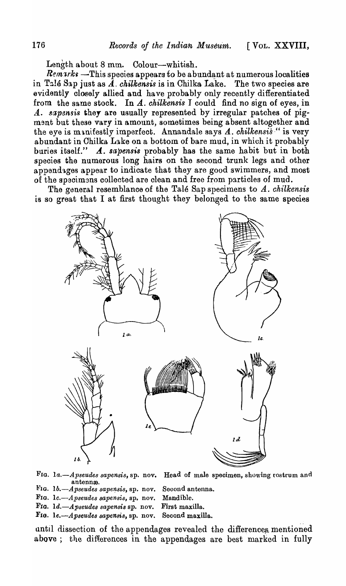Length about 8 mm. Colour-whitish.

 $Remarks$  -This species appears to be abundant at numerous localities in T<sub>2</sub>16 S<sub>3</sub>p just as  $\tilde{A}$ . *chilkensis* is in Chilka Lake. The two species are evidently closely allied and have probably only recently differentiated from the same stock. In A. *chilkensis* I could find no sign of eyes, in A. sapensis they are usually represented by irregular patches of pigment but these vary in amount, sometimes being absent altogether and the eye is manifestly imperfect. Annandale says A. *chilkensis* " is very abundant in Chilka Lake on a bottom of bare mud, in which it probably<br>buries itself."  $\boldsymbol{A}$ . sapensis probably has the same habit but in both A. sapensis probably has the same habit but in both species the numerous long hairs on the second trunk legs and other appendages appear to indicate that they are good swimmers, and most of the specimans collected are clean and free from particles of mud.

The general resemblance of the Tale Sap specimens to A. *chilkensis*  is so great that I at first thought they belonged to the same species



antenna.

FIG. *la.-Apseudes sapensis,* sp. nov. Head of male speoimen, showing rostrum and

- FIG. 1b.-Apseudes sapensis, sp. nov. Second antenna.
- FIG. 1c.-Apseudes sapensis, sp. nov. Mandible.
- FIG. 1d.-Apseudes sapensis sp. nov. First maxilla.
- FIG. *le.-Apseudes sapensis*, sp. nov. Second maxilla.

until dissection of the appendages revealed the differences mentioned above; the differences in the appendages are best marked in fully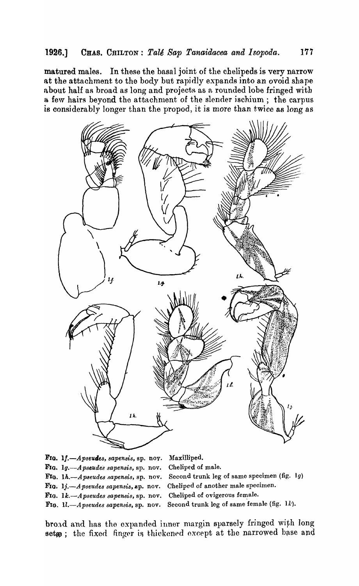matured males. In these the basal joint of the chelipeds is very narrow at the attachment to the body but rapidly expands into an ovoid shape about half as broad as long and projects as a rounded lobe fringed with a few hairs beyond the attachment of the slender ischium; the carpus is considerably longer than the propod, it is more than twice as long as



FIG. 1f.-Apseudes, sapensis, sp. nov. Maxilliped. FIG. 1g.-Apseudes sapensis, sp. nov. Cheliped of male. FIG. 1h.-Apseudes sapensis, sp. nov. Second trunk leg of same specimen (fig. 1g) FIG. 1*j.*-*Apseudes sapensis*, sp. nov. Cheliped of another male specimen. FIG. 1k.-Apseudes sapensis, sp. nov. Cheliped of ovigerous female. FIG. 1l.-Apseudes sapensis, sp. nov. Second trunk leg of same female (fig. 1k).

broad and has the expanded inner margin sparsely fringed with long setge; the fixed finger is thickened except at the narrowed base and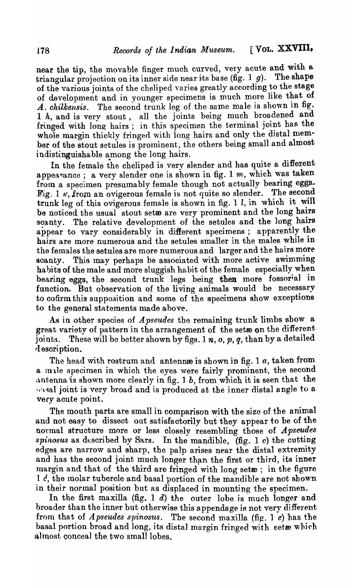near the tip, the movable finger much curved, very acute and with a triangular projection on its inner side near its base (fig. 1  $q$ ). The shape triangular projection on its inner side near its base (fig. 1  $g$ ). of the various joints of the cheliped varies greatly according to the stage of development and in younger specimens is much more like that of A. chilkensis. The second trunk leg of the same male is shown in fig. 1 h, and is very stout, all the joints being much broadened and fringed with long hairs; in this specimen the terminal joint has the whole margin thickly fringed with long hairs and only the distal member of the stout setules is prominent, the others being small and almost indistinguishable among the long hairs.

In the female the cheliped is very slender and has quite a different appea ance; a very slender one is shown in fig. 1 m, which was taken from a specimen presumably female though not actually bearing eggs. Fig. 1  $\kappa$ , from an ovigerous female is not quite so slender. The second trunk leg of this ovigerous female is shown in fig. 1  $l$ , in which it will be noticed the usual stout setwe are very prominent and the long hairs scanty. The relative development of the setules and the long hairs appear to vary considerably in different specimens; apparently the hairs are more numerous and the setules smaller in the males while in the females the setules are more numerous and larger and the hairs more scanty. This may perhaps be associated with more active swimming habits of the male and more sluggish habit of the female especially when bearing eggs, the second trunk legs being then more fossorial in function. But observation of the living animals would be necessary to cofirm this suppoaition and some of the specimens show exceptions to the general statements made above.

As in other species of *Apseudes* the remaining trunk limbs show a great variety of pattern in the arrangement of the setse on the different joints. These will be better shown by figs. 1 n,  $o$ ,  $p$ ,  $q$ , than by a detailed d escription.

The head with rostrum and antennes is shown in fig. 1  $a$ , taken from a male specimen in which the eyes were fairly prominent, the second antenna is shown more clearly in fig. 1 b, from which it is seen that the  $\sim$  sal joint is very broad and is produced at the inner distal angle to a very acute point.

The mouth parts are small in comparison with the size of the animal and not easy to dissect out satisfactorily but they appear to be of the normal structure more or less closely resembling those of *A pseudes*  $spinosus$  as described by Sars. In the mandible,  $(fig. 1 c)$  the cutting edges are narrow and sharp, tbe palp arises near the distal extremity and has the second joint much longer than the first or third, its inner margin and that of the third are fringed with long setæ; in the figure 1  $\ell$ , the molar tubercle and basal portion of the mandible are not shown in their normal position but as displaced in mounting the specimen.

In the first maxilla (fig. 1  $d$ ) the outer lobe is much longer and broader than the inner but otherwise this appendage is not very different from that of *Apseudes spinosus.* The second maxilla (fig. 1 *e)* has the basal portion broad and long, its distal margin fringed with setæ which almost conceal the two small lobes.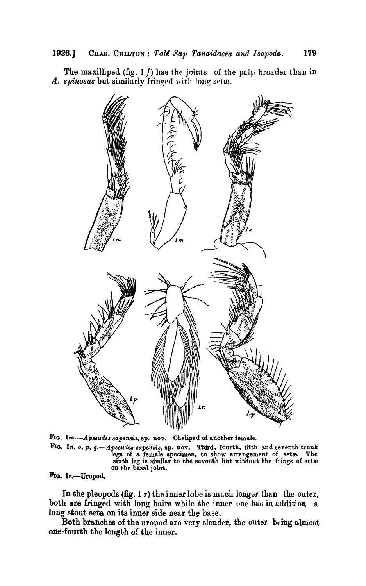The maxilliped (fig.  $1 f$ ) has the joints of the pal<sub>l</sub> broader than in A. *spinosus* but similarly fringed with long setæ.



FIG. 1m.-Apseudes sapensis, sp. nov. Cheliped of another female. FIG. 1n. o, p, q.—Apseudes sapensis, sp. nov. Third, fourth, fifth and seventh trunk legs of a female specimen, to show arrangement of setæ. The sixth leg is similar to the seventh but without the fringe of set $\mathbf a$ on the basal joint.

Fig. 1r.-Uropod.

In the pleopods  $(f\circ g. 1\dot{\tau})$  the inner lobe is much longer than the outer, both are fringed with long hairs while the inner one has in addition a long stout seta on its inner side near the base.

Both branches of the uropod are very slender, the outer being almost one-fourth the length of the inner.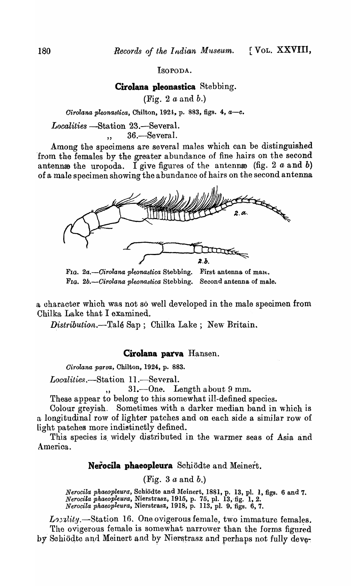ISOPODA.

**Cirolana pleonastica** Stebbing.

(Fig. 2 *a* and b.)

*Cirolana pleonastica, Chilton, 1924, p. 883, figs. 4, a-c.* 

*Localities* -Station 23.-Several.  $, 36$ . Several.

Among the specimens are several males which can be distinguished from the females by the greater abundance of fine hairs on the second antennas the uropoda. I give figures of the antennas (fig. 2  $a$  and b) of a male specimen showing the abundance of hairs on the second antenna



FIG. 2a.-Cirolana pleonastica Stebbing. First antenna of malt. FIG. *2b.-Cirolana pleonastica* Stebbing. Second antenna of male.

a character which was not so well developed in the male specimen from Chilka Lake that I examined.

*Distribution.*--Talé Sap; Chilka Lake; New Britain.

## **Cirolana parva** Hansen.

*Cirolana parva*, Chilton, 1924, p. 883.

*Localities*.-Station 11.-Several.

 $, 31$ .  $-One.$  Length about 9 mm.

These appear to belong to this somewhat ill-defined species.

Colour greyish. Sometimes with a darker median band in which is a longitudinal row of lighter patches and on each side a similar row of Light patches more indistinctly defined.

This species is, widely distributed in the warmer seas of Asia and America.

## **NetociIa phaeopleura** Schiodte and Meinert.

(Fig. 3 *a* and b.)

*Nerocila phaeopleura,* Schiodte and l\feinert, 1881, p. 13, pI. 1, figs. 6 and 7. *Nerocila phaeopleura,* Nierstrasz, 1915, p. 75, pl. 13,-fig. 1, 2. *Nerocila phaeopleura, Nierstrasz, 1918, p. 113, pl. 9, figs. 6, 7.* 

*Lorality.*—Station 16. One ovigerous female, two immature females. The ovigerous female is somewhat narrower than the forms figured by Schiodte and Meinert and by Nierstrasz and perhaps not fully deve-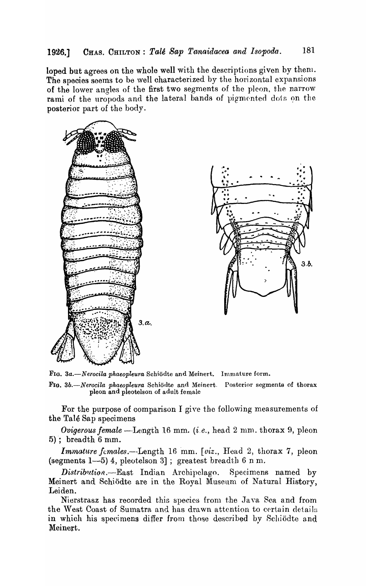## **1926.]** CHAS. CHILTON: *Tale Sap Tanaidacea and Isopoda·.* 181

loped but agrees on the whole well with the descriptions given by theni. The species seems to be well characterized by the horizontal expansions of the lower angles of the first two segments of the pleon, the narrow rami of the uropods and the lateral bands of pigmented dots on the posterior part of the body.





FIG. 3a.-Nerocila phaeopleura Schiodte and Meinert. Immature form.

FIG. 3b.-Nerocila phaeopleura Schiodte and Meinert. Posterior segments of thorax pleon and pleotelson of adult female

For the purpose of comparison I give the following measurements of the Tale Sap specimens

*Ovigerous female* - Length 16 mm. *(i.e., head 2 mm. thorax 9, pleon*  $5$ ); breadth 6 mm.

*Immature fcmales.*--Length 16 mm. *[viz., Head 2, thorax 7, pleon* (segments  $1-5$ ) 4, pleotelson 3]; greatest breadth 6 n m.

*Distribution.*--East Indian Archipolago. Specimens named by Meinert and Schiödte are in the Royal Museum of Natural History, Leiden.

Nierstrasz has recorded this species from the Java Sea and from the West Coast of Sumatra and has drawn attention to certain details in which his specimens differ from those described by Schiödte and Meinert.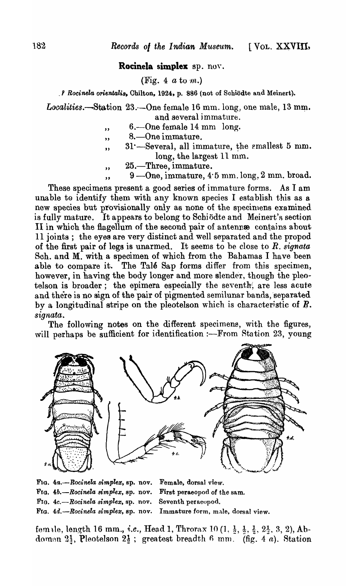### Rocinela simplex sp. nov.

(Fig. 4  $a$  to  $m$ .)

. *P Rocinela orientalis, Chilton, 1924, p. 886 (not of Schiodte and Meinert).* 

Localities.-Station 23. - One female 16 mm. long, one male, 13 mm. and several immature.

- $6,-$ One female 14 mm  $\log$ .  $, ,$
- 8. One immature.  $, ,$
- 31 :--- Several, all immature, the smallest 5 mm.  $\bullet$ long, the largest 11 mm.
- 25.—Three, immature.  $\overline{\mathbf{z}}$
- $9$ —One, immature,  $4.5$  mm. long,  $2$  mm. broad.

These specimens present a good series of immature forms. As I am unable to identify them with any known species I establish this as a new species but provisionally only as none of the specimens examined is fully mature. It appears to belong to Schiödte and Meinert's section II in which the flagellum of the second pair of antenne contains about 11 joints; the eyes are very distinct and well separated and the propod of the first pair of legs is unarmed. It seems to be close to  $R$ . signata Sch. and M. with a specimen of which from the Bahamas I have been able to compare it. The Talé Sap forms differ from this specimen, however, in having the body longer and more slender, though the pleotelson is broader; the epimera especially the seventh, are less acute and there is no sign of the pair of pigmented semilunar bands, separated by a longitudinal stripe on the pleotelson which is characteristic of  $R$ . signata.

The following notes on the different specimens, with the figures, will perhaps be sufficient for identification :- From Station 23, young



Fig. 4a.-Rocinela simplex, sp. nov. Female, dorsal view. Fig.  $4b$ . --Rocinela simplex, sp. nov. First peraeopod of the sam. FIG. 4c.-Rocinela simplex, sp. nov. Seventh peraeopod. FIG. 4d.-Rocinela simplex, sp. nov. Immature form, male, dorsal view.

female, length 16 mm., *i.e.*, Head 1, Throrax 10  $(1, \frac{1}{2}, \frac{1}{3}, \frac{1}{2}, 2\frac{1}{3}, 3, 2)$ , Abdomen  $2\frac{1}{3}$ , Pleotelson  $2\frac{1}{2}$ ; greatest breadth 6 mm. (fig. 4 a). Station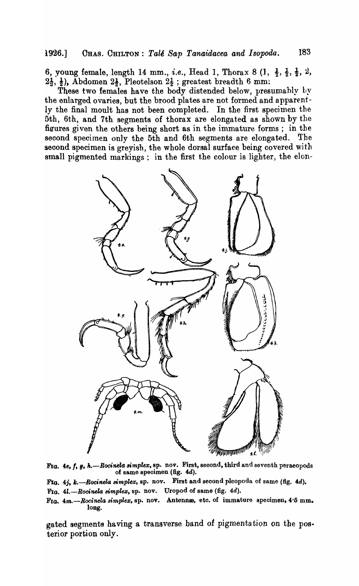6, young female, length 14 mm., *i.e.*, Head 1, Thorax 8  $(1, \frac{1}{2}, \frac{1}{2}, \frac{1}{2}, 2, \frac{1}{2})$  $2\frac{1}{2}$ ,  $\frac{1}{2}$ ), Abdomen  $2\frac{1}{2}$ , Pleotelson  $2\frac{1}{2}$ ; greatest breadth 6 mm?

These two females have the body distended below, presumably by the enlarged ovaries, but the brood plates are not formed and apparently the final moult has not been completed. In the first specimen the 5th, 6th, and 7th segments of thorax are elongated as shown by the figures given the others being short as in the immature forms; in the second specimen only the 5th and 6th segments are elongated. The second specimen is greyish, the whole dorsal surface being covered with small pigmented markings; in the first the colour is lighter, the elon-

![](_page_10_Figure_3.jpeg)

FIG. 4e, f, g, h.-Rocinela simplex, sp. nov. First, second, third and seventh peraeopods of same specimen (fig.  $4d$ ).

FIG. 4j, k.-Rocinela simplex, sp. nov. First and second pleopoda of same (fig. 4d). FIG. 4l.-Rocinela simplex, sp. nov. Uropod of same (fig. 4d).

gated segments having a transverse band of pigmentation on the posterior portion only.

FIG.  $4m$ -Rocinela simplex, sp. nov. Antennæ, etc. of immature specimen, 4'5 mm. long.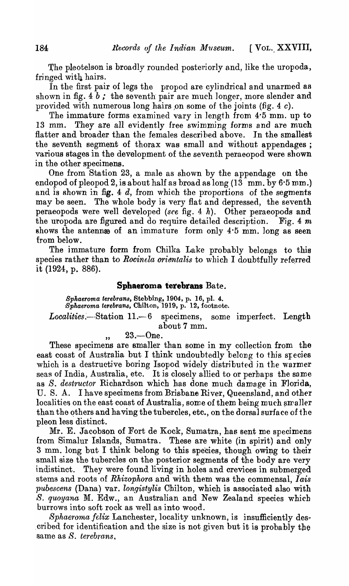The pleotelson is broadly rounded posteriorly and, like the uropoda, fringed with hairs.

In the first pair of legs the propod are cylindrical and unarmed as shown in fig.  $4 b$ ; the seventh pair are much longer, more slender and provided with numerous long hairs on some of the joints (fig. 4 $c$ ).

The immature forms examined vary in length from 4'5 mm. up to 13 mm. They are all evidently free swimming forms and are much flatter and broader than the females described above. In the smallest the seventh segment of thorax was small and without appendages; various stages in the development of the seventh peraeopod were shown in the other specimens.

One from Station 23, a male as shown by the appendage on the endopod of pleopod 2, is about half as broad as long (13 mm. by 6'5 mm.) and is shown in fig. 4  $d$ , from which the proportions of the segments may be seen. The whole body is very flat and depressed, the seventh peraeopods were well developed *(see* fig. 4 h). Other peraeopods and the uropoda are figured and do require detailed description. Fig. 4 *m*  shows the antenn $\omega$  of an immature form only 4.5 mm. long as seen from below.

The immature form from Chilka Lake probably belongs to this species rather than to *Rocinela orientalis* to which I doubtfully referred it (1924, p. 886).

## **Sphaeroma terebrans** Bate.

*8phaeroma terebrans,* Stebbing, 1904, p. 16, pI. 4. *Bphaeroma terebrans,* Chilton, 1919, p. 12, footnote.

 $Localities. - Station 11. -6$  specimens, some imperfect. Length about 7 mm.

 $, 23. - One.$ 

These specimens are smaller than some in my collection from the east coast of Australia but I think undoubtedly belong to this species which is a destructive boring Isopod widely distributed in the warmer seas of India, Australia, etc. It is closely allied to or perhaps the same as *S. destructor* Richardson which has done much damage in Florida, U. S. A. I have specimens from Brisbane River, Queensland, and other localities on the east coast of Australia, some of them being much smaller than the others and having the tubercles, etc., on the dorsal surface of the pleon less distinct.

Mr. E. Jacobson of Fort de Kock, Sumatra, has sent me specimens {rom Simalur Islands, Sumatra. These are white (in spirit) and only  $3$  mm. long but I think belong to this species, though owing to their small size the tubercles on the posterior segments of the body are very indistinct. They were found living in holes and crevices in submerged stems and roots of *Rhizophora* and with them was the commensal, *I ais*  pubescens (Dana) var. *longistylis* Chilton, which is associated also with *S. quoyana* M. Edw., an Australian and New Zealand species which burrows into soft rock as well as into wood.

*Sphaeroma felix Lanchester, locality unknown, is insufficiently des*cribed for identification and the size is not given but it is probably the same as *S. terebrans*.